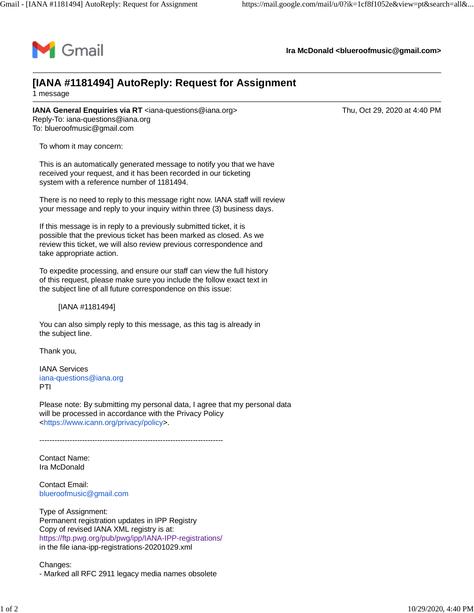

**Ira McDonald [<blueroofmusic@gmail.com](mailto:blueroofmusic@gmail.com)>**

## **[IANA #1181494] AutoReply: Request for Assignment** 1 message

**IANA General Enquiries via RT** [<iana-questions@iana.org>](mailto:iana-questions@iana.org)Thu, Oct 29, 2020 at 4:40 PM Reply-To: [iana-questions@iana.org](mailto:iana-questions@iana.org) To: [blueroofmusic@gmail.com](mailto:blueroofmusic@gmail.com)

To whom it may concern:

This is an automatically generated message to notify you that we have received your request, and it has been recorded in our ticketing system with a reference number of 1181494.

There is no need to reply to this message right now. IANA staff will review your message and reply to your inquiry within three (3) business days.

If this message is in reply to a previously submitted ticket, it is possible that the previous ticket has been marked as closed. As we review this ticket, we will also review previous correspondence and take appropriate action.

To expedite processing, and ensure our staff can view the full history of this request, please make sure you include the follow exact text in the subject line of all future correspondence on this issue:

[IANA #1181494]

You can also simply reply to this message, as this tag is already in the subject line.

Thank you,

IANA Services [iana-questions@iana.org](mailto:iana-questions@iana.org) PTI

Please note: By submitting my personal data, I agree that my personal data will be processed in accordance with the Privacy Policy <[https://www.icann.org/privacy/policy>](https://www.icann.org/privacy/policy).

-------------------------------------------------------------------------

Contact Name: Ira McDonald

Contact Email: [blueroofmusic@gmail.com](mailto:blueroofmusic@gmail.com)

Type of Assignment: Permanent registration updates in IPP Registry Copy of revised IANA XML registry is at: <https://ftp.pwg.org/pub/pwg/ipp/IANA-IPP-registrations/> in the file iana-ipp-registrations-20201029.xml

Changes: - Marked all RFC 2911 legacy media names obsolete